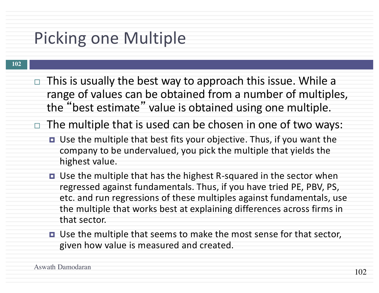# Picking one Multiple

- $\Box$  This is usually the best way to approach this issue. While a range of values can be obtained from a number of multiples, the "best estimate" value is obtained using one multiple.
- $\Box$  The multiple that is used can be chosen in one of two ways:
	- Use the multiple that best fits your objective. Thus, if you want the company to be undervalued, you pick the multiple that yields the highest value.
	- Use the multiple that has the highest R-squared in the sector when regressed against fundamentals. Thus, if you have tried PE, PBV, PS, etc. and run regressions of these multiples against fundamentals, use the multiple that works best at explaining differences across firms in that sector.
	- Use the multiple that seems to make the most sense for that sector, given how value is measured and created.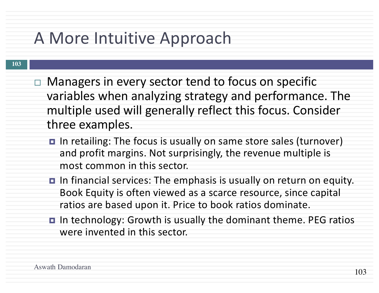### A More Intuitive Approach

- **103**
- $\Box$  Managers in every sector tend to focus on specific variables when analyzing strategy and performance. The multiple used will generally reflect this focus. Consider three examples.
	- **□** In retailing: The focus is usually on same store sales (turnover) and profit margins. Not surprisingly, the revenue multiple is most common in this sector.
	- **□** In financial services: The emphasis is usually on return on equity. Book Equity is often viewed as a scarce resource, since capital ratios are based upon it. Price to book ratios dominate.
	- **□** In technology: Growth is usually the dominant theme. PEG ratios were invented in this sector.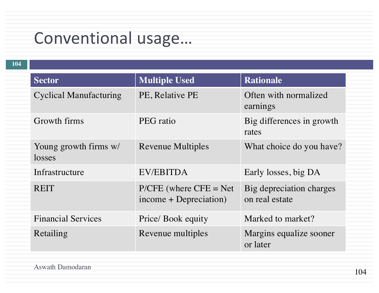## Conventional usage...

| <b>Multiple Used</b><br><b>Rationale</b><br><b>Sector</b><br><b>Cyclical Manufacturing</b><br>PE, Relative PE<br>Often with normalized<br>earnings<br>Growth firms<br>Big differences in growth<br>PEG ratio<br>rates<br>Young growth firms w/<br><b>Revenue Multiples</b><br>What choice do you have?<br>losses<br>EV/EBITDA<br>Infrastructure<br>Early losses, big DA<br>$P/CFE$ (where $CFE = Net$<br><b>REIT</b><br>Big depreciation charges<br>income + Depreciation)<br>on real estate<br><b>Financial Services</b><br>Marked to market?<br>Price/ Book equity<br>Margins equalize sooner<br>Revenue multiples<br>Retailing<br>or later | 104 |  |  |
|-----------------------------------------------------------------------------------------------------------------------------------------------------------------------------------------------------------------------------------------------------------------------------------------------------------------------------------------------------------------------------------------------------------------------------------------------------------------------------------------------------------------------------------------------------------------------------------------------------------------------------------------------|-----|--|--|
|                                                                                                                                                                                                                                                                                                                                                                                                                                                                                                                                                                                                                                               |     |  |  |
|                                                                                                                                                                                                                                                                                                                                                                                                                                                                                                                                                                                                                                               |     |  |  |
|                                                                                                                                                                                                                                                                                                                                                                                                                                                                                                                                                                                                                                               |     |  |  |
|                                                                                                                                                                                                                                                                                                                                                                                                                                                                                                                                                                                                                                               |     |  |  |
|                                                                                                                                                                                                                                                                                                                                                                                                                                                                                                                                                                                                                                               |     |  |  |
|                                                                                                                                                                                                                                                                                                                                                                                                                                                                                                                                                                                                                                               |     |  |  |
|                                                                                                                                                                                                                                                                                                                                                                                                                                                                                                                                                                                                                                               |     |  |  |
|                                                                                                                                                                                                                                                                                                                                                                                                                                                                                                                                                                                                                                               |     |  |  |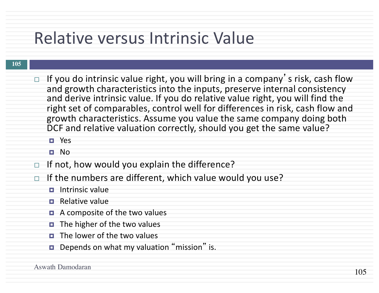### Relative versus Intrinsic Value

#### **105**

- $\Box$  If you do intrinsic value right, you will bring in a company's risk, cash flow and growth characteristics into the inputs, preserve internal consistency and derive intrinsic value. If you do relative value right, you will find the right set of comparables, control well for differences in risk, cash flow and growth characteristics. Assume you value the same company doing both DCF and relative valuation correctly, should you get the same value?
	- ¤ Yes
	- ¤ No
- $\Box$  If not, how would you explain the difference?
- $\Box$  If the numbers are different, which value would you use?
	- **<u>E</u>** Intrinsic value
	- $\blacksquare$  Relative value
	- $\blacksquare$  A composite of the two values
	- $\blacksquare$  The higher of the two values
	- $\Box$  The lower of the two values
	- Depends on what my valuation "mission" is.